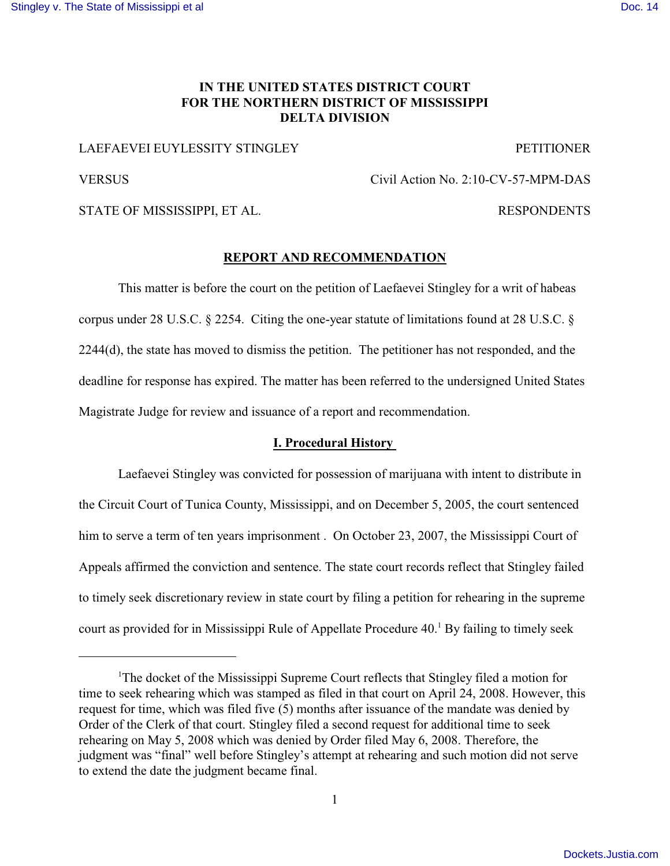# **IN THE UNITED STATES DISTRICT COURT FOR THE NORTHERN DISTRICT OF MISSISSIPPI DELTA DIVISION**

# LAEFAEVEI EUYLESSITY STINGLEY

PETITIONER

RESPONDENTS

VERSUS

Civil Action No. 2:10-CV-57-MPM-DAS

STATE OF MISSISSIPPI, ET AL.

#### **REPORT AND RECOMMENDATION**

This matter is before the court on the petition of Laefaevei Stingley for a writ of habeas corpus under 28 U.S.C. § 2254. Citing the one-year statute of limitations found at 28 U.S.C. § 2244(d), the state has moved to dismiss the petition. The petitioner has not responded, and the deadline for response has expired. The matter has been referred to the undersigned United States Magistrate Judge for review and issuance of a report and recommendation.

### **I. Procedural History**

Laefaevei Stingley was convicted for possession of marijuana with intent to distribute in the Circuit Court of Tunica County, Mississippi, and on December 5, 2005, the court sentenced him to serve a term of ten years imprisonment. On October 23, 2007, the Mississippi Court of Appeals affirmed the conviction and sentence. The state court records reflect that Stingley failed to timely seek discretionary review in state court by filing a petition for rehearing in the supreme court as provided for in Mississippi Rule of Appellate Procedure 40.<sup>1</sup> By failing to timely seek

<sup>&</sup>lt;sup>1</sup>The docket of the Mississippi Supreme Court reflects that Stingley filed a motion for time to seek rehearing which was stamped as filed in that court on April 24, 2008. However, this request for time, which was filed five (5) months after issuance of the mandate was denied by Order of the Clerk of that court. Stingley filed a second request for additional time to seek rehearing on May 5, 2008 which was denied by Order filed May 6, 2008. Therefore, the judgment was "final" well before Stingley's attempt at rehearing and such motion did not serve to extend the date the judgment became final.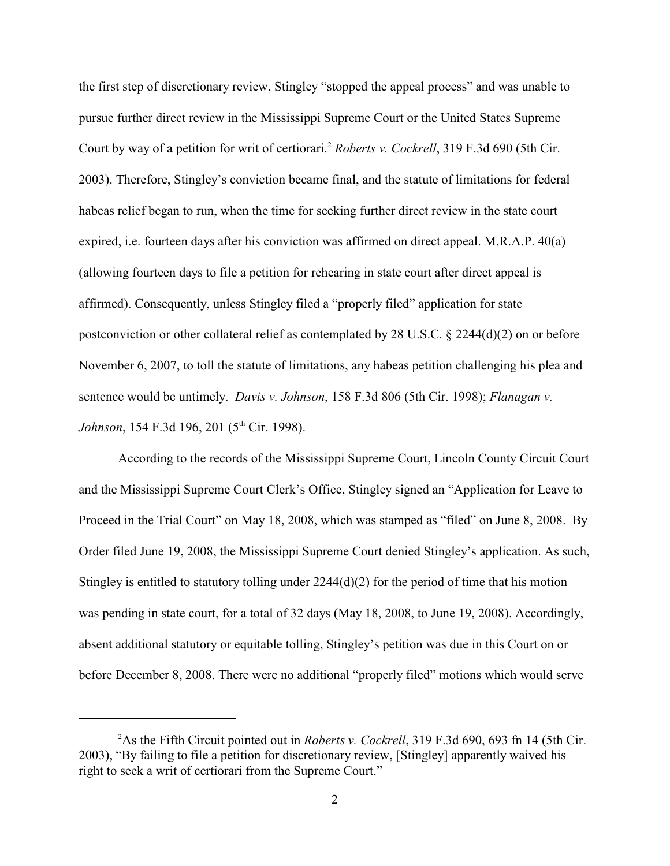the first step of discretionary review, Stingley "stopped the appeal process" and was unable to pursue further direct review in the Mississippi Supreme Court or the United States Supreme Court by way of a petition for writ of certiorari.<sup>2</sup> Roberts v. Cockrell, 319 F.3d 690 (5th Cir. 2003). Therefore, Stingley's conviction became final, and the statute of limitations for federal habeas relief began to run, when the time for seeking further direct review in the state court expired, i.e. fourteen days after his conviction was affirmed on direct appeal. M.R.A.P. 40(a) (allowing fourteen days to file a petition for rehearing in state court after direct appeal is affirmed). Consequently, unless Stingley filed a "properly filed" application for state postconviction or other collateral relief as contemplated by 28 U.S.C. § 2244(d)(2) on or before November 6, 2007, to toll the statute of limitations, any habeas petition challenging his plea and sentence would be untimely. *Davis v. Johnson*, 158 F.3d 806 (5th Cir. 1998); *Flanagan v. Johnson*, 154 F.3d 196, 201 (5<sup>th</sup> Cir. 1998).

According to the records of the Mississippi Supreme Court, Lincoln County Circuit Court and the Mississippi Supreme Court Clerk's Office, Stingley signed an "Application for Leave to Proceed in the Trial Court" on May 18, 2008, which was stamped as "filed" on June 8, 2008. By Order filed June 19, 2008, the Mississippi Supreme Court denied Stingley's application. As such, Stingley is entitled to statutory tolling under 2244(d)(2) for the period of time that his motion was pending in state court, for a total of 32 days (May 18, 2008, to June 19, 2008). Accordingly, absent additional statutory or equitable tolling, Stingley's petition was due in this Court on or before December 8, 2008. There were no additional "properly filed" motions which would serve

<sup>&</sup>lt;sup>2</sup>As the Fifth Circuit pointed out in *Roberts v. Cockrell*, 319 F.3d 690, 693 fn 14 (5th Cir. 2003), "By failing to file a petition for discretionary review, [Stingley] apparently waived his right to seek a writ of certiorari from the Supreme Court."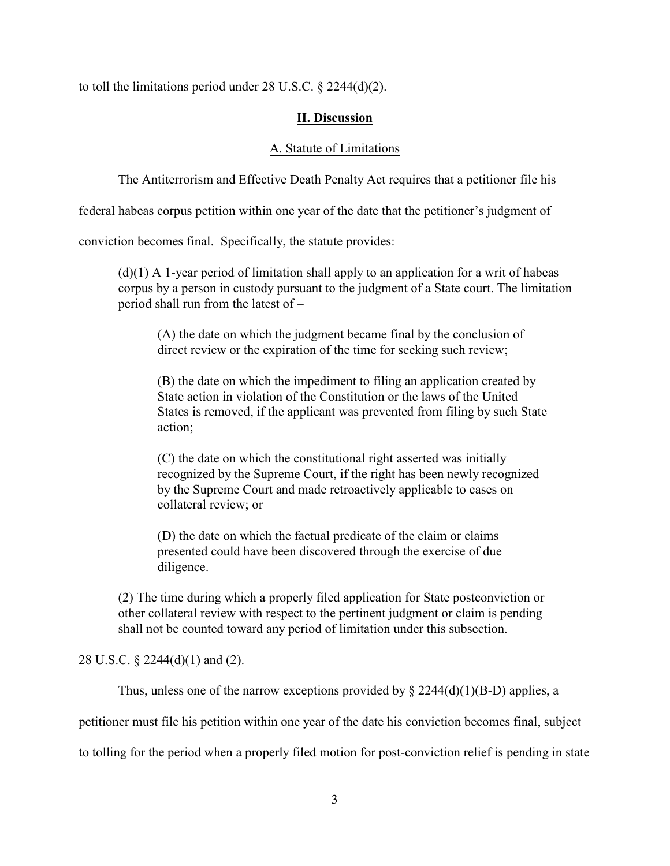to toll the limitations period under 28 U.S.C. § 2244(d)(2).

### **II. Discussion**

### A. Statute of Limitations

The Antiterrorism and Effective Death Penalty Act requires that a petitioner file his

federal habeas corpus petition within one year of the date that the petitioner's judgment of

conviction becomes final. Specifically, the statute provides:

 $(d)(1)$  A 1-year period of limitation shall apply to an application for a writ of habeas corpus by a person in custody pursuant to the judgment of a State court. The limitation period shall run from the latest of –

(A) the date on which the judgment became final by the conclusion of direct review or the expiration of the time for seeking such review;

(B) the date on which the impediment to filing an application created by State action in violation of the Constitution or the laws of the United States is removed, if the applicant was prevented from filing by such State action;

(C) the date on which the constitutional right asserted was initially recognized by the Supreme Court, if the right has been newly recognized by the Supreme Court and made retroactively applicable to cases on collateral review; or

(D) the date on which the factual predicate of the claim or claims presented could have been discovered through the exercise of due diligence.

(2) The time during which a properly filed application for State postconviction or other collateral review with respect to the pertinent judgment or claim is pending shall not be counted toward any period of limitation under this subsection.

28 U.S.C. § 2244(d)(1) and (2).

Thus, unless one of the narrow exceptions provided by  $\S 2244(d)(1)(B-D)$  applies, a

petitioner must file his petition within one year of the date his conviction becomes final, subject

to tolling for the period when a properly filed motion for post-conviction relief is pending in state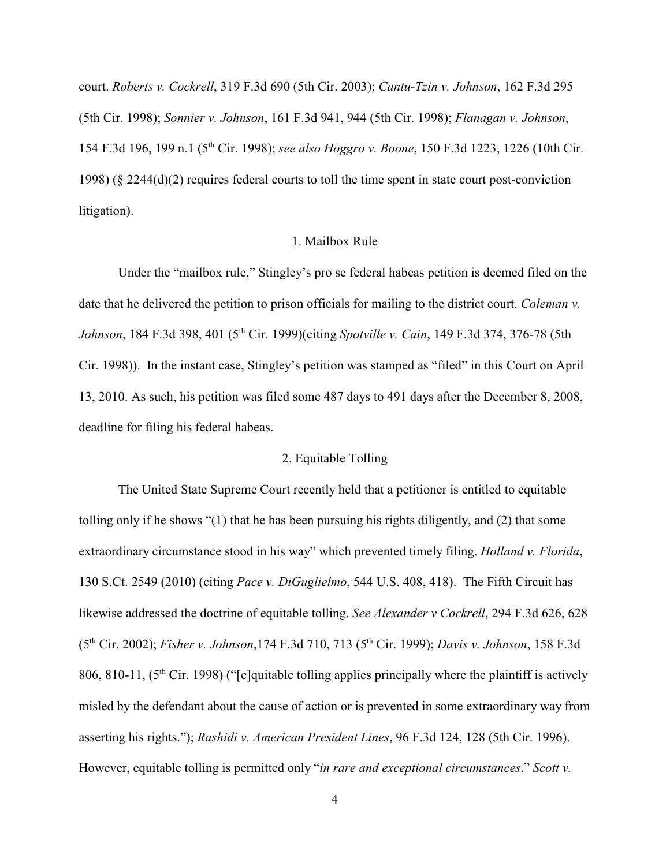court. *Roberts v. Cockrell*, 319 F.3d 690 (5th Cir. 2003); *Cantu-Tzin v. Johnson*, 162 F.3d 295 (5th Cir. 1998); *Sonnier v. Johnson*, 161 F.3d 941, 944 (5th Cir. 1998); *Flanagan v. Johnson*, 154 F.3d 196, 199 n.1 (5<sup>th</sup> Cir. 1998); *see also Hoggro v. Boone*, 150 F.3d 1223, 1226 (10th Cir. 1998) (§ 2244(d)(2) requires federal courts to toll the time spent in state court post-conviction litigation).

#### 1. Mailbox Rule

Under the "mailbox rule," Stingley's pro se federal habeas petition is deemed filed on the date that he delivered the petition to prison officials for mailing to the district court. *Coleman v. Johnson*, 184 F.3d 398, 401 (5<sup>th</sup> Cir. 1999)(citing *Spotville v. Cain*, 149 F.3d 374, 376-78 (5th Cir. 1998)). In the instant case, Stingley's petition was stamped as "filed" in this Court on April 13, 2010. As such, his petition was filed some 487 days to 491 days after the December 8, 2008, deadline for filing his federal habeas.

## 2. Equitable Tolling

The United State Supreme Court recently held that a petitioner is entitled to equitable tolling only if he shows "(1) that he has been pursuing his rights diligently, and (2) that some extraordinary circumstance stood in his way" which prevented timely filing. *Holland v. Florida*, 130 S.Ct. 2549 (2010) (citing *Pace v. DiGuglielmo*, 544 U.S. 408, 418). The Fifth Circuit has likewise addressed the doctrine of equitable tolling. *See Alexander v Cockrell*, 294 F.3d 626, 628 (5<sup>th</sup> Cir. 2002); *Fisher v. Johnson*, 174 F.3d 710, 713 (5<sup>th</sup> Cir. 1999); *Davis v. Johnson*, 158 F.3d 806, 810-11,  $(5<sup>th</sup> Cir. 1998)$  ("[e]quitable tolling applies principally where the plaintiff is actively misled by the defendant about the cause of action or is prevented in some extraordinary way from asserting his rights."); *Rashidi v. American President Lines*, 96 F.3d 124, 128 (5th Cir. 1996). However, equitable tolling is permitted only "*in rare and exceptional circumstances*." *Scott v.*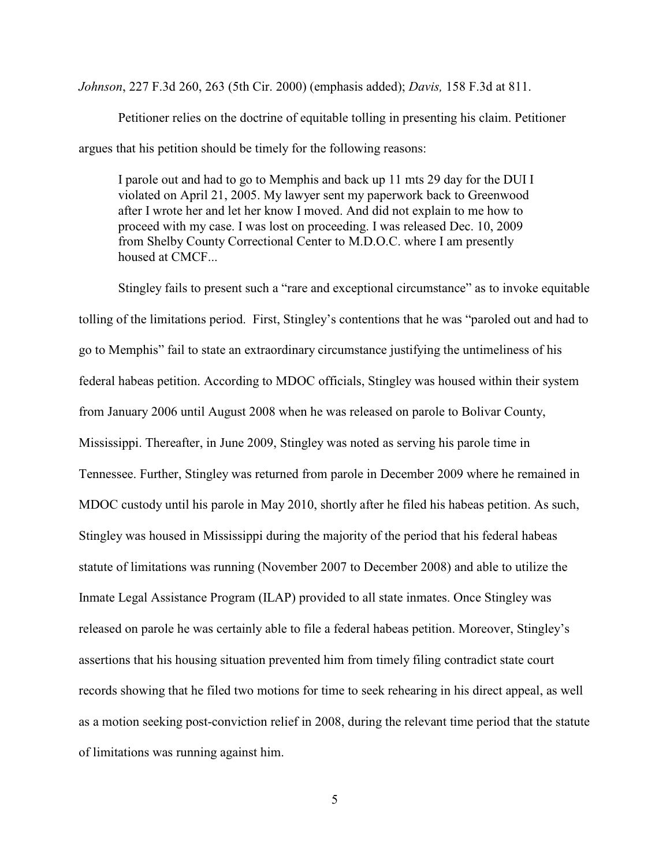*Johnson*, 227 F.3d 260, 263 (5th Cir. 2000) (emphasis added); *Davis,* 158 F.3d at 811.

Petitioner relies on the doctrine of equitable tolling in presenting his claim. Petitioner argues that his petition should be timely for the following reasons:

I parole out and had to go to Memphis and back up 11 mts 29 day for the DUI I violated on April 21, 2005. My lawyer sent my paperwork back to Greenwood after I wrote her and let her know I moved. And did not explain to me how to proceed with my case. I was lost on proceeding. I was released Dec. 10, 2009 from Shelby County Correctional Center to M.D.O.C. where I am presently housed at CMCF...

Stingley fails to present such a "rare and exceptional circumstance" as to invoke equitable tolling of the limitations period. First, Stingley's contentions that he was "paroled out and had to go to Memphis" fail to state an extraordinary circumstance justifying the untimeliness of his federal habeas petition. According to MDOC officials, Stingley was housed within their system from January 2006 until August 2008 when he was released on parole to Bolivar County, Mississippi. Thereafter, in June 2009, Stingley was noted as serving his parole time in Tennessee. Further, Stingley was returned from parole in December 2009 where he remained in MDOC custody until his parole in May 2010, shortly after he filed his habeas petition. As such, Stingley was housed in Mississippi during the majority of the period that his federal habeas statute of limitations was running (November 2007 to December 2008) and able to utilize the Inmate Legal Assistance Program (ILAP) provided to all state inmates. Once Stingley was released on parole he was certainly able to file a federal habeas petition. Moreover, Stingley's assertions that his housing situation prevented him from timely filing contradict state court records showing that he filed two motions for time to seek rehearing in his direct appeal, as well as a motion seeking post-conviction relief in 2008, during the relevant time period that the statute of limitations was running against him.

5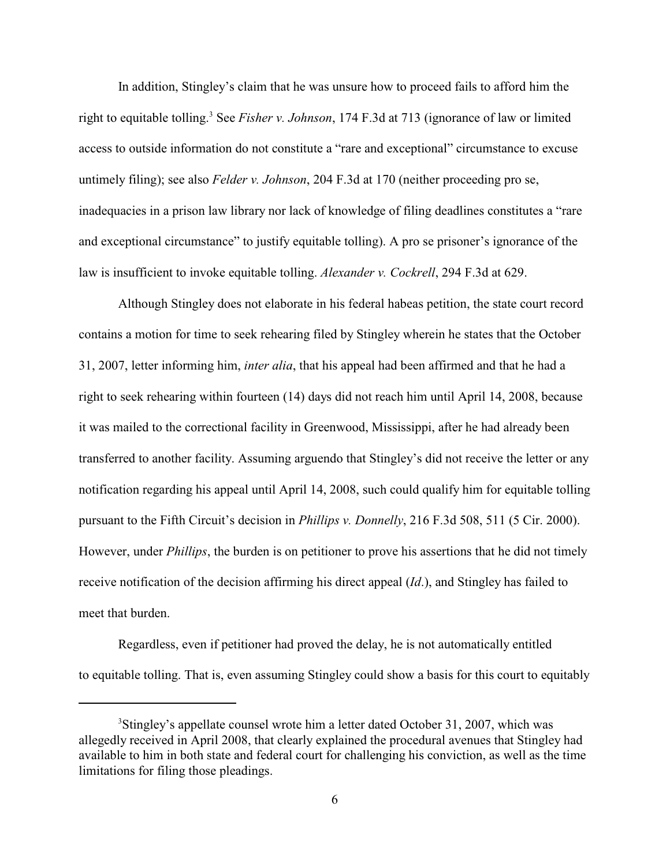In addition, Stingley's claim that he was unsure how to proceed fails to afford him the right to equitable tolling.<sup>3</sup> See *Fisher v. Johnson*, 174 F.3d at 713 (ignorance of law or limited access to outside information do not constitute a "rare and exceptional" circumstance to excuse untimely filing); see also *Felder v. Johnson*, 204 F.3d at 170 (neither proceeding pro se, inadequacies in a prison law library nor lack of knowledge of filing deadlines constitutes a "rare and exceptional circumstance" to justify equitable tolling). A pro se prisoner's ignorance of the law is insufficient to invoke equitable tolling. *Alexander v. Cockrell*, 294 F.3d at 629.

Although Stingley does not elaborate in his federal habeas petition, the state court record contains a motion for time to seek rehearing filed by Stingley wherein he states that the October 31, 2007, letter informing him, *inter alia*, that his appeal had been affirmed and that he had a right to seek rehearing within fourteen (14) days did not reach him until April 14, 2008, because it was mailed to the correctional facility in Greenwood, Mississippi, after he had already been transferred to another facility. Assuming arguendo that Stingley's did not receive the letter or any notification regarding his appeal until April 14, 2008, such could qualify him for equitable tolling pursuant to the Fifth Circuit's decision in *Phillips v. Donnelly*, 216 F.3d 508, 511 (5 Cir. 2000). However, under *Phillips*, the burden is on petitioner to prove his assertions that he did not timely receive notification of the decision affirming his direct appeal (*Id*.), and Stingley has failed to meet that burden.

Regardless, even if petitioner had proved the delay, he is not automatically entitled to equitable tolling. That is, even assuming Stingley could show a basis for this court to equitably

<sup>&</sup>lt;sup>3</sup>Stingley's appellate counsel wrote him a letter dated October 31, 2007, which was allegedly received in April 2008, that clearly explained the procedural avenues that Stingley had available to him in both state and federal court for challenging his conviction, as well as the time limitations for filing those pleadings.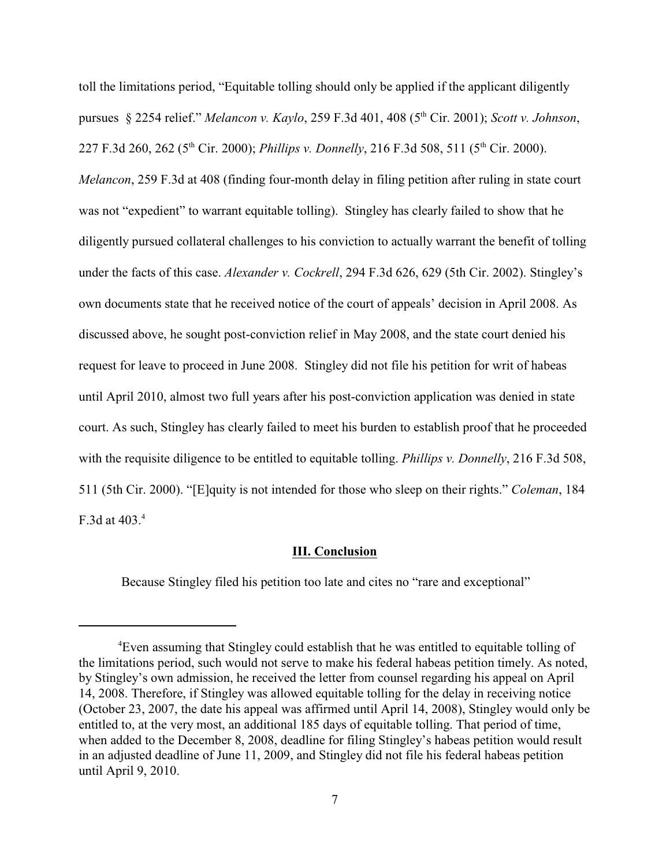toll the limitations period, "Equitable tolling should only be applied if the applicant diligently pursues § 2254 relief." *Melancon v. Kaylo*, 259 F.3d 401, 408 (5<sup>th</sup> Cir. 2001); *Scott v. Johnson*, 227 F.3d 260, 262 (5<sup>th</sup> Cir. 2000); *Phillips v. Donnelly*, 216 F.3d 508, 511 (5<sup>th</sup> Cir. 2000). *Melancon*, 259 F.3d at 408 (finding four-month delay in filing petition after ruling in state court was not "expedient" to warrant equitable tolling). Stingley has clearly failed to show that he diligently pursued collateral challenges to his conviction to actually warrant the benefit of tolling under the facts of this case. *Alexander v. Cockrell*, 294 F.3d 626, 629 (5th Cir. 2002). Stingley's own documents state that he received notice of the court of appeals' decision in April 2008. As discussed above, he sought post-conviction relief in May 2008, and the state court denied his request for leave to proceed in June 2008. Stingley did not file his petition for writ of habeas until April 2010, almost two full years after his post-conviction application was denied in state court. As such, Stingley has clearly failed to meet his burden to establish proof that he proceeded with the requisite diligence to be entitled to equitable tolling. *Phillips v. Donnelly*, 216 F.3d 508, 511 (5th Cir. 2000). "[E]quity is not intended for those who sleep on their rights." *Coleman*, 184 F.3d at 403.<sup>4</sup>

#### **III. Conclusion**

Because Stingley filed his petition too late and cites no "rare and exceptional"

<sup>&</sup>lt;sup>4</sup>Even assuming that Stingley could establish that he was entitled to equitable tolling of the limitations period, such would not serve to make his federal habeas petition timely. As noted, by Stingley's own admission, he received the letter from counsel regarding his appeal on April 14, 2008. Therefore, if Stingley was allowed equitable tolling for the delay in receiving notice (October 23, 2007, the date his appeal was affirmed until April 14, 2008), Stingley would only be entitled to, at the very most, an additional 185 days of equitable tolling. That period of time, when added to the December 8, 2008, deadline for filing Stingley's habeas petition would result in an adjusted deadline of June 11, 2009, and Stingley did not file his federal habeas petition until April 9, 2010.